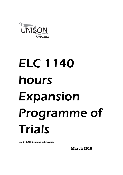

# ELC 1140 hours Expansion Programme of Trials

The UNISON Scotland Submission

**March 2016**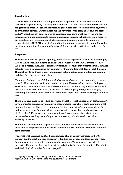# **Introduction**

UNISON Scotland welcomes the opportunity to respond to the Scottish Government Discussion paper on Early Learning and Childcare 1140 hours expansion. UNISON is the biggest trade union in Scotland representing members across Scotland's public, private and voluntary sectors. Our members are the key workers in early years and childcare. UNISON members pay taxes as well as delivering and using public services and are therefore in a unique position to comment on public services in Scotland. The majority of our members are women, many of whom are also balancing work with their care responsibilities. UNISON in particular and the trade union movement in general have led the way in campaigns for a comprehensive childcare service in Scotland and across the **TIK** 

# **Response**

The current childcare system is patchy, complex and expensive. Parents in Scotland pay 27% of their household income on childcare, compared to the OECD average of 12%. We need a radical overhaul of childcare provision to ensure that it provides what families actually want: a safe nurturing environment for their children that doesn't cost the earth. The best way to do this is to deliver childcare in the public sector, paid for via taxation and therefore free at the point of use.

It's not just the high cost of childcare which creates a barrier for women trying to return to work. The system is patchy and hard to navigate. Places are hard to find. Until you know what specific childcare is available then it's impossible to say what hours you will be able to work and vice versa. This is hard for those hoping to negotiate changing working patterns returning to their job and almost impossible for those trying to find new work.

There is no one place to go to find out what's available: local authorities in Scotland don't have to monitor childcare availability in their area, far less what it costs or find out what demand for care is. There is no statutory obligation to provide/organise childcare for under-threes except for those whose parents are in receipt of certain benefits or are "looked after". Many working parents are forced to use expensive private sector nurseries because they cannot buy extra hours on top of their free hours in local authority nurseries.

The recent JRF programme paper: Creating and Anti-poverty Childcare System $^{\rm l}$  states that a shift to supply side funding for pre-school childcare services is the most effective route forward:

 "International evidence and the best examples of high quality provision in the UK suggest that the most effective approach to funding pre-school childcare is supply side funding, where investment is made directly in service. This approach provides the means to offer universal access to services and effectively shape the quality, affordability and flexibility" (Executive Summary page 3)

  $^\mathrm{1}\,$  JRF programme paper: Creating and Anti-poverty Childcare System https://www.jrf.org.uk/report/creating-anti-poverty-childcare-system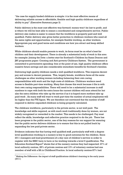"the case for supply funded childcare is simple: it is the most effective means of delivering reliable access to affordable, flexible and high quality childcare regardless of ability to pay" (Executive Summary page 3)

Public delivery is the most cost effective way forward: money won't be lost to profit, and is where we will be best able to ensure a coordinated and comprehensive service. Public delivery also makes is easier to ensure that the workforce is properly paid and well qualified. Public delivery also gives better protection to childcare workers who need all the same rights and opportunities, for example flexible working, as other workers. Appropriate pay and good terms and conditions are how you attract and keep skilled workers.

While childcare should enable parents to work, its focus must be on what's best for children and their development. There is already a substantial body of work in this area for example: Joining the Dots: a better start for Scotland's Children by Susan Deacon and JRF programme paper: Creating and Anti-poverty Childcare System. The government is committed to preventative spending: free at the point of use, high quality childcare offers massive future savings and also considerable immediate benefits for Scotland's families.

Delivering high quality childcare needs a well qualified workforce. This requires decent pay and access to decent pensions. This, largely female, workforce faces all the same challenges as other working women including balancing their own caring responsibilities with work and the high costs of childcare. Childcare workers need access to flexible part-time working. Many first choose this work because it fits in with their own caring responsibilities. There will need to be a substantial increase in staff numbers to cope with both the extra hours the current children will soon attend for but also the extra children who take up the service if as it is hoped more mothers take up paid work . As many staff will want to work part-time the number of actual employees will be higher than the FTE figure. We are therefore not convinced that the number of staff required to deliver expanded childcare is being properly calculated.

The childcare workforce, particularly in the private sector, is not well paid. The knowledge and skills required, as with much work traditionally done by women, are not widely recognised or rewarded in the market. This needs to be challenged. Pay must reflect the skills, knowledge and reflective practice required to do the job. There has been progress in the public sector, one of the key reasons for our support for ensuring that the public sector delivers childcare is to ensure that this is not pulled back by expanding the low paid private sector.

Evidence indicates that that having well qualified staff, particularly staff with a degree level qualification working in a nursery is key to good outcomes for the children. Since 2011 managers and lead practitioners of a day care of children's service in order to register with the SSSC have to have or be working towards a level 9 qualification. The Education Scotland Report $^{\rm 2}$  shows that of the nursery centres they had inspected:  $27\%$  of local authority centres, 28% of private centres and 13% of voluntary centres had one member of staff with a BA in Childhood Practice. In local authority centres 87% had

 $2$  Making the Difference: the impact of staff qualifications children's learning in the early years (2011)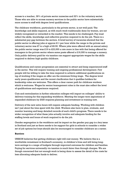access to a teacher, 39% of private sector nurseries and 32% in the voluntary sector. Those who are able to access nursery services in the public sector have substantially more access to staff with degree level qualifications.

The childcare workforce, particularly in the private sector, is not well paid. The knowledge and skills required, as with much work traditionally done by women, are not widely recognised or rewarded in the market. This needs to be challenged. Pay must reflect the skills, knowledge and reflective practice required to do the job. There is a substantial pay gap between the sectors. A brief survey of vacancies showed that the public sector is offering jobs at approx  $\pounds 11$  per hour while the range in the private and voluntary sector was £7 to a high of £8.50. Where jobs were offered with an annual salary the public sector range was £19 to £23,000 a rate more in line with that being offered for managers in the private sector where some posts offered a £16,000 to manage a nursery. Only public delivery paid for via taxation can support appropriate wages for the skills required to deliver high quality childcare.

Qualifications and career progression are essential to attract and keep experienced staff in the sector. This will require training and ongoing professional development. Few people will be willing to take the time required to achieve additional qualifications on top of working if the wages on offer are the minimum/living wage. The degree level early years qualification and the recent clarification that it qualifies holders for leadership roles are welcome. This offers a clear career path for childcare workers which is welcome. Wages for senior/management roles in the must also reflect the level of qualifications and experience required.

Cuts and centralisation in further education colleges will impact on colleges' ability to delivery training for this expanding workforce. Meeting the longer term aspirations of expanded childcare by 2020 requires planning and investment in training now.

Delivery of the new extra hours will require adequate funding. Working with children isn't just about the time spent with the child. Workers also have to plan, evaluate, and monitor learning and keep detailed records of each child's progress. There needs to be wider recognition of what these jobs actually involve and adequate funding for the staffing levels and hours of work required to do the job.

Gender segregation in the workforce and its impact on the gender pay gap is a key issue in Scotland and just as there needs to be support for girls in schools to consider a wider set of job options but boys should also be encouraged to consider childcare as a career.

#### **Barriers**

UNISON believes that getting childcare right will cost money. We believe this is a worthwhile investment in Scotland's economy, in children's lives and will bring longterm savings to a range of budgets through improved outcomes for children and families. Paying for services universally via taxation is much fairer than through charges. We are though concerned that not enough work is being done to assess the detail of the costs far less allocating adequate funds to deliver.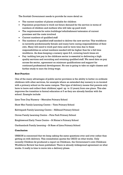The Scottish Government needs to provide far more detail on

- The current number of places available for children
- Population projections to work out future demand for the service in terms of numbers of children and mothers who will take up paid work
- The requirements for extra buildings/refurbishment/extension of current premises and the costs involved
- Current numbers of qualified staff
- The numbers of qualified staff needed to deliver the new service: This workforce is currently predominantly female and many have caring responsibilities of their own. Many will need to work part-time and/or term time due to these responsibilities so actual numbers needed will be higher than for a full time workforce. As does keeping a nursery open 8-6, covering lunch times etc
- Pay: tackling low pay in the childcare sector is essential to delivering a high quality services and recruiting and retaining qualified staff. We need data on pay across the sector, agreement on minimum qualifications and support for continued professional development. No one is going to take on night classes and further study to earn the living wage.

# **Best Practice**

One of the many advantages of public sector provision is the ability to better co-ordinate childcare with other services, for example where an extended day nursery in co-located with a primary school on the same campus. This type of delivery means that parents only have to leave and collect their children( aged up to 12 years) from one place. This also improves the transition to formal education at 5 as they are already familiar with the school. Example include

Lime Tree Day Nursery – Merrylee Primary School

Shaw Mor Family Learning Centre – Tinto Primary School

Kelvinpark Family Learning Centre – Hillhead Primary School

Govan Family Learning Centre – Pirie Park Primary School

Knightswood Early Years Centre – St Ninian's Primary School

Garthamlock Family Learning – St Rose of Lima Primary School

#### **Conclusion**

UNISON is concerned that we keep asking the same questions over and over rather than getting on with delivery. This consultation quotes the OECD on what works. Only recently Children Ist produced a report on Childcare, the Government's own Childcare Workforce Review has been published. There is already widespread agreement on what works. It really is time to move into a delivery phase.